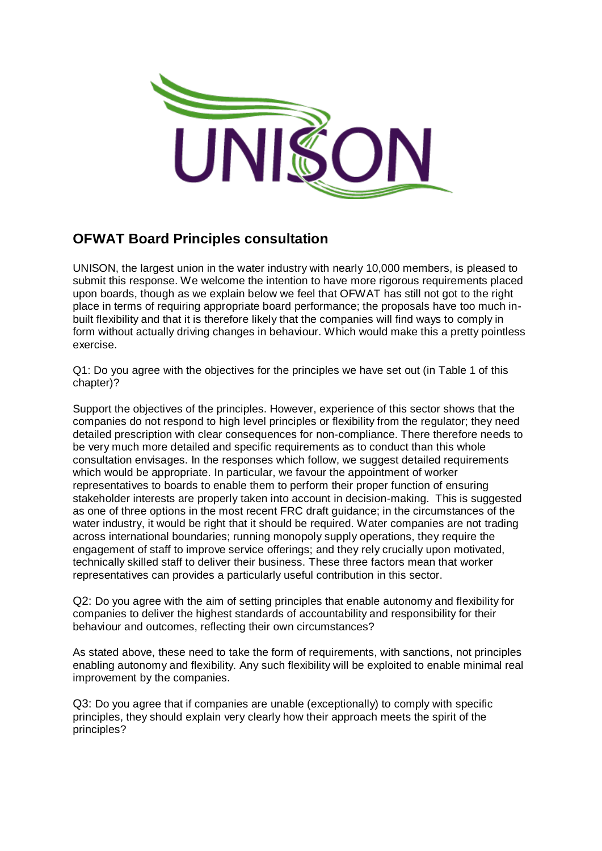

## **OFWAT Board Principles consultation**

UNISON, the largest union in the water industry with nearly 10,000 members, is pleased to submit this response. We welcome the intention to have more rigorous requirements placed upon boards, though as we explain below we feel that OFWAT has still not got to the right place in terms of requiring appropriate board performance; the proposals have too much inbuilt flexibility and that it is therefore likely that the companies will find ways to comply in form without actually driving changes in behaviour. Which would make this a pretty pointless exercise.

Q1: Do you agree with the objectives for the principles we have set out (in Table 1 of this chapter)?

Support the objectives of the principles. However, experience of this sector shows that the companies do not respond to high level principles or flexibility from the regulator; they need detailed prescription with clear consequences for non-compliance. There therefore needs to be very much more detailed and specific requirements as to conduct than this whole consultation envisages. In the responses which follow, we suggest detailed requirements which would be appropriate. In particular, we favour the appointment of worker representatives to boards to enable them to perform their proper function of ensuring stakeholder interests are properly taken into account in decision-making. This is suggested as one of three options in the most recent FRC draft guidance; in the circumstances of the water industry, it would be right that it should be required. Water companies are not trading across international boundaries; running monopoly supply operations, they require the engagement of staff to improve service offerings; and they rely crucially upon motivated, technically skilled staff to deliver their business. These three factors mean that worker representatives can provides a particularly useful contribution in this sector.

Q2: Do you agree with the aim of setting principles that enable autonomy and flexibility for companies to deliver the highest standards of accountability and responsibility for their behaviour and outcomes, reflecting their own circumstances?

As stated above, these need to take the form of requirements, with sanctions, not principles enabling autonomy and flexibility. Any such flexibility will be exploited to enable minimal real improvement by the companies.

Q3: Do you agree that if companies are unable (exceptionally) to comply with specific principles, they should explain very clearly how their approach meets the spirit of the principles?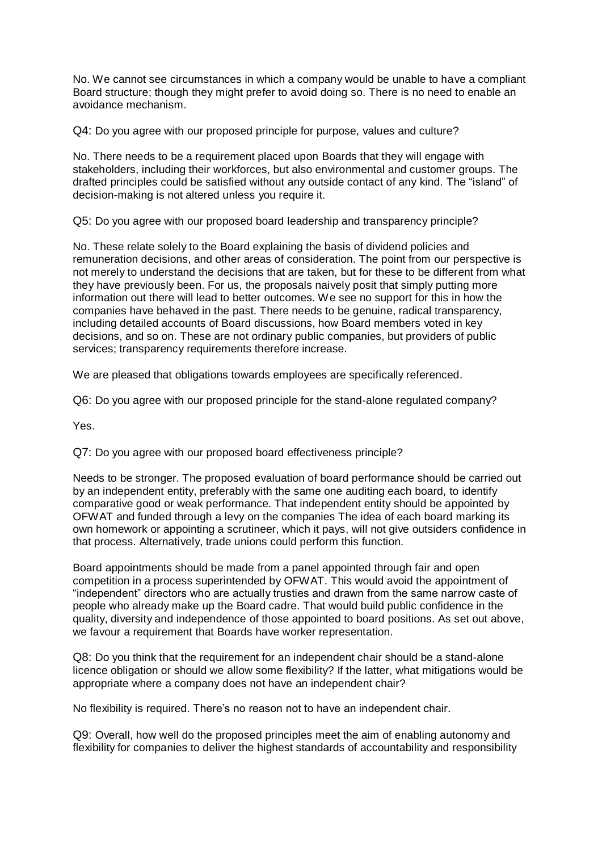No. We cannot see circumstances in which a company would be unable to have a compliant Board structure; though they might prefer to avoid doing so. There is no need to enable an avoidance mechanism.

Q4: Do you agree with our proposed principle for purpose, values and culture?

No. There needs to be a requirement placed upon Boards that they will engage with stakeholders, including their workforces, but also environmental and customer groups. The drafted principles could be satisfied without any outside contact of any kind. The "island" of decision-making is not altered unless you require it.

Q5: Do you agree with our proposed board leadership and transparency principle?

No. These relate solely to the Board explaining the basis of dividend policies and remuneration decisions, and other areas of consideration. The point from our perspective is not merely to understand the decisions that are taken, but for these to be different from what they have previously been. For us, the proposals naively posit that simply putting more information out there will lead to better outcomes. We see no support for this in how the companies have behaved in the past. There needs to be genuine, radical transparency, including detailed accounts of Board discussions, how Board members voted in key decisions, and so on. These are not ordinary public companies, but providers of public services; transparency requirements therefore increase.

We are pleased that obligations towards employees are specifically referenced.

Q6: Do you agree with our proposed principle for the stand-alone regulated company?

Yes.

Q7: Do you agree with our proposed board effectiveness principle?

Needs to be stronger. The proposed evaluation of board performance should be carried out by an independent entity, preferably with the same one auditing each board, to identify comparative good or weak performance. That independent entity should be appointed by OFWAT and funded through a levy on the companies The idea of each board marking its own homework or appointing a scrutineer, which it pays, will not give outsiders confidence in that process. Alternatively, trade unions could perform this function.

Board appointments should be made from a panel appointed through fair and open competition in a process superintended by OFWAT. This would avoid the appointment of "independent" directors who are actually trusties and drawn from the same narrow caste of people who already make up the Board cadre. That would build public confidence in the quality, diversity and independence of those appointed to board positions. As set out above, we favour a requirement that Boards have worker representation.

Q8: Do you think that the requirement for an independent chair should be a stand-alone licence obligation or should we allow some flexibility? If the latter, what mitigations would be appropriate where a company does not have an independent chair?

No flexibility is required. There's no reason not to have an independent chair.

Q9: Overall, how well do the proposed principles meet the aim of enabling autonomy and flexibility for companies to deliver the highest standards of accountability and responsibility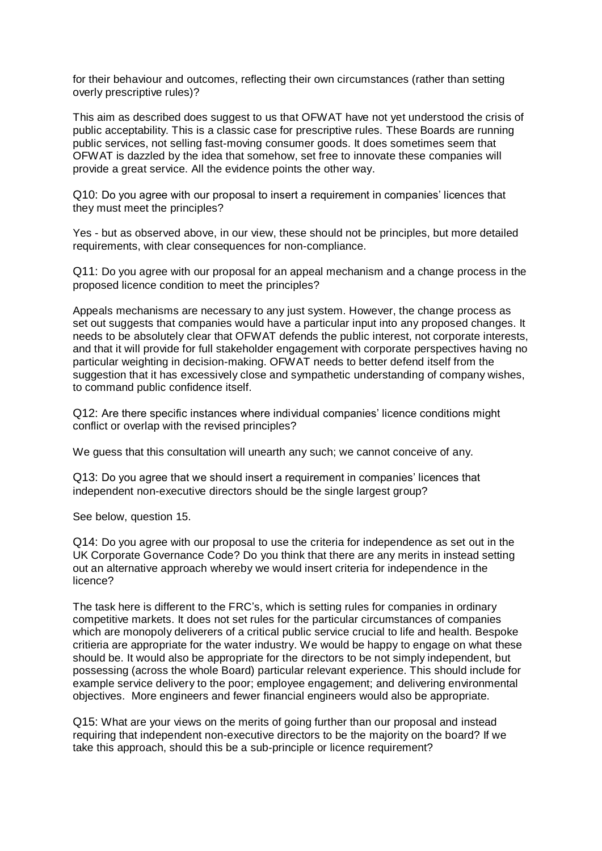for their behaviour and outcomes, reflecting their own circumstances (rather than setting overly prescriptive rules)?

This aim as described does suggest to us that OFWAT have not yet understood the crisis of public acceptability. This is a classic case for prescriptive rules. These Boards are running public services, not selling fast-moving consumer goods. It does sometimes seem that OFWAT is dazzled by the idea that somehow, set free to innovate these companies will provide a great service. All the evidence points the other way.

Q10: Do you agree with our proposal to insert a requirement in companies' licences that they must meet the principles?

Yes - but as observed above, in our view, these should not be principles, but more detailed requirements, with clear consequences for non-compliance.

Q11: Do you agree with our proposal for an appeal mechanism and a change process in the proposed licence condition to meet the principles?

Appeals mechanisms are necessary to any just system. However, the change process as set out suggests that companies would have a particular input into any proposed changes. It needs to be absolutely clear that OFWAT defends the public interest, not corporate interests, and that it will provide for full stakeholder engagement with corporate perspectives having no particular weighting in decision-making. OFWAT needs to better defend itself from the suggestion that it has excessively close and sympathetic understanding of company wishes, to command public confidence itself.

Q12: Are there specific instances where individual companies' licence conditions might conflict or overlap with the revised principles?

We guess that this consultation will unearth any such; we cannot conceive of any.

Q13: Do you agree that we should insert a requirement in companies' licences that independent non-executive directors should be the single largest group?

See below, question 15.

Q14: Do you agree with our proposal to use the criteria for independence as set out in the UK Corporate Governance Code? Do you think that there are any merits in instead setting out an alternative approach whereby we would insert criteria for independence in the licence?

The task here is different to the FRC's, which is setting rules for companies in ordinary competitive markets. It does not set rules for the particular circumstances of companies which are monopoly deliverers of a critical public service crucial to life and health. Bespoke critieria are appropriate for the water industry. We would be happy to engage on what these should be. It would also be appropriate for the directors to be not simply independent, but possessing (across the whole Board) particular relevant experience. This should include for example service delivery to the poor; employee engagement; and delivering environmental objectives. More engineers and fewer financial engineers would also be appropriate.

Q15: What are your views on the merits of going further than our proposal and instead requiring that independent non-executive directors to be the majority on the board? If we take this approach, should this be a sub-principle or licence requirement?